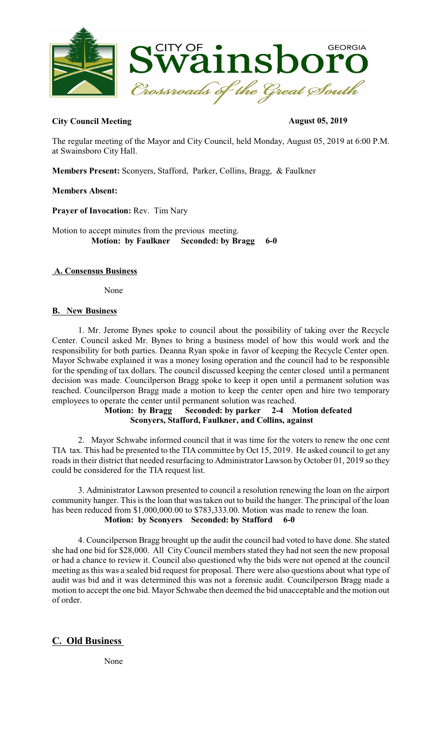

### **City Council Meeting August 05, 2019**

The regular meeting of the Mayor and City Council, held Monday, August 05, 2019 at 6:00 P.M. at Swainsboro City Hall.

**Members Present:** Sconyers, Stafford, Parker, Collins, Bragg, & Faulkner

#### **Members Absent:**

**Prayer of Invocation:** Rev. Tim Nary

Motion to accept minutes from the previous meeting.  **Motion: by Faulkner Seconded: by Bragg 6-0** 

#### **A. Consensus Business**

None

#### **B. New Business**

1. Mr. Jerome Bynes spoke to council about the possibility of taking over the Recycle Center. Council asked Mr. Bynes to bring a business model of how this would work and the responsibility for both parties. Deanna Ryan spoke in favor of keeping the Recycle Center open. Mayor Schwabe explained it was a money losing operation and the council had to be responsible for the spending of tax dollars. The council discussed keeping the center closed until a permanent decision was made. Councilperson Bragg spoke to keep it open until a permanent solution was reached. Councilperson Bragg made a motion to keep the center open and hire two temporary employees to operate the center until permanent solution was reached.

#### **Motion: by Bragg Seconded: by parker 2-4 Motion defeated Sconyers, Stafford, Faulkner, and Collins, against**

2. Mayor Schwabe informed council that it was time for the voters to renew the one cent TIA tax. This had be presented to the TIA committee by Oct 15, 2019. He asked council to get any roads in their district that needed resurfacing to Administrator Lawson by October 01, 2019 so they could be considered for the TIA request list.

3. Administrator Lawson presented to council a resolution renewing the loan on the airport community hanger. This isthe loan that wastaken out to build the hanger. The principal of the loan has been reduced from \$1,000,000.00 to \$783,333.00. Motion was made to renew the loan. **Motion: by Sconyers Seconded: by Stafford 6-0**

4. Councilperson Bragg brought up the audit the council had voted to have done. She stated she had one bid for \$28,000. All City Council members stated they had not seen the new proposal or had a chance to review it. Council also questioned why the bids were not opened at the council meeting as this was a sealed bid request for proposal. There were also questions about what type of audit was bid and it was determined this was not a forensic audit. Councilperson Bragg made a motion to accept the one bid. Mayor Schwabe then deemed the bid unacceptable and the motion out of order.

# **C. Old Business**

None